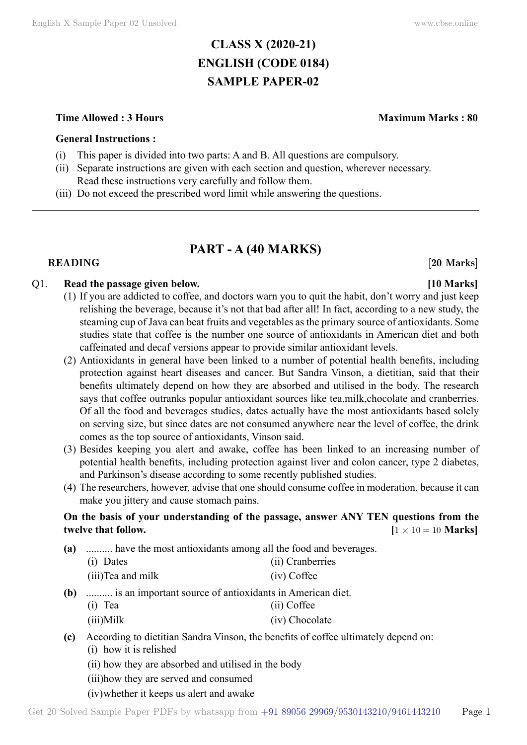# **CLASS X (2020-21) ENGLISH (CODE 0184) SAMPLE PAPER-02**

# **Time Allowed : 3 Hours Maximum Marks : 80**

# **General Instructions :**

- (i) This paper is divided into two parts: A and B. All questions are compulsory.
- (ii) Separate instructions are given with each section and question, wherever necessary. Read these instructions very carefully and follow them.
- (iii) Do not exceed the prescribed word limit while answering the questions.

# **PART - A (40 Marks)**

# **READING** [20 Marks]

# Q1. **Read the passage given below. [10 Marks]**

- (1) If you are addicted to coffee, and doctors warn you to quit the habit, don't worry and just keep relishing the beverage, because it's not that bad after all! In fact, according to a new study, the steaming cup of Java can beat fruits and vegetables as the primary source of antioxidants. Some studies state that coffee is the number one source of antioxidants in American diet and both caffeinated and decaf versions appear to provide similar antioxidant levels.
- (2) Antioxidants in general have been linked to a number of potential health benefits, including protection against heart diseases and cancer. But Sandra Vinson, a dietitian, said that their benefits ultimately depend on how they are absorbed and utilised in the body. The research says that coffee outranks popular antioxidant sources like tea,milk,chocolate and cranberries. Of all the food and beverages studies, dates actually have the most antioxidants based solely on serving size, but since dates are not consumed anywhere near the level of coffee, the drink comes as the top source of antioxidants, Vinson said.
- (3) Besides keeping you alert and awake, coffee has been linked to an increasing number of potential health benefits, including protection against liver and colon cancer, type 2 diabetes, and Parkinson's disease according to some recently published studies.
- (4) The researchers, however, advise that one should consume coffee in moderation, because it can make you jittery and cause stomach pains.

# **On the basis of your understanding of the passage, answer ANY TEN questions from the twelve that follow.**  $[1 \times 10 = 10 \text{ Marks}]$

**(a)** .......... have the most antioxidants among all the food and beverages.

| (i) Dates          | (ii) Cranberries |
|--------------------|------------------|
| (iii) Tea and milk | (iv) Coffee      |

- **(b)** .......... is an important source of antioxidants in American diet.
	- (i) Tea (ii) Coffee
	- (iii)Milk (iv) Chocolate
- **(c)** According to dietitian Sandra Vinson, the benefits of coffee ultimately depend on: (i) how it is relished
	-
	- (ii) how they are absorbed and utilised in the body
	- (iii)how they are served and consumed
	- (iv)whether it keeps us alert and awake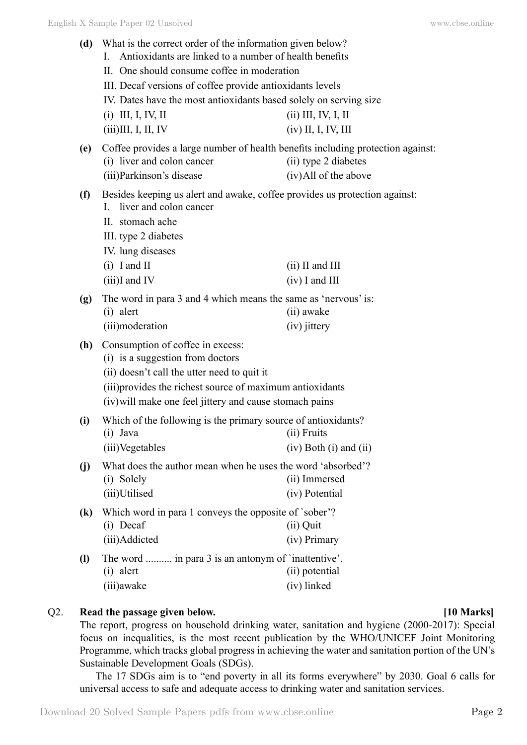| (d)                                                                                                                            | What is the correct order of the information given below?<br>Antioxidants are linked to a number of health benefits<br>L<br>II. One should consume coffee in moderation |                              |  |
|--------------------------------------------------------------------------------------------------------------------------------|-------------------------------------------------------------------------------------------------------------------------------------------------------------------------|------------------------------|--|
|                                                                                                                                |                                                                                                                                                                         |                              |  |
| III. Decaf versions of coffee provide antioxidants levels<br>IV. Dates have the most antioxidants based solely on serving size |                                                                                                                                                                         |                              |  |
|                                                                                                                                |                                                                                                                                                                         |                              |  |
|                                                                                                                                | $(iii)$ III, I, II, IV                                                                                                                                                  | $(iv)$ II, I, IV, III        |  |
| (e)                                                                                                                            | Coffee provides a large number of health benefits including protection against:                                                                                         |                              |  |
|                                                                                                                                | (i) liver and colon cancer                                                                                                                                              | (ii) type 2 diabetes         |  |
|                                                                                                                                | (iii) Parkinson's disease                                                                                                                                               | (iv) All of the above        |  |
| (f)                                                                                                                            | Besides keeping us alert and awake, coffee provides us protection against:<br>liver and colon cancer<br>$\mathbf{L}$                                                    |                              |  |
|                                                                                                                                | II. stomach ache                                                                                                                                                        |                              |  |
|                                                                                                                                | III. type 2 diabetes                                                                                                                                                    |                              |  |
|                                                                                                                                | IV. lung diseases                                                                                                                                                       |                              |  |
|                                                                                                                                | $(i)$ I and II                                                                                                                                                          | $(ii)$ II and III            |  |
|                                                                                                                                | $(iii)$ I and IV                                                                                                                                                        | $(iv)$ I and III             |  |
|                                                                                                                                |                                                                                                                                                                         |                              |  |
| (g)                                                                                                                            | The word in para 3 and 4 which means the same as 'nervous' is:                                                                                                          |                              |  |
|                                                                                                                                | $(i)$ alert                                                                                                                                                             | (ii) awake                   |  |
|                                                                                                                                | (iii)moderation                                                                                                                                                         | (iv) jittery                 |  |
| (h)                                                                                                                            | Consumption of coffee in excess:                                                                                                                                        |                              |  |
|                                                                                                                                | (i) is a suggestion from doctors<br>(ii) doesn't call the utter need to quit it<br>(iii) provides the richest source of maximum antioxidants                            |                              |  |
|                                                                                                                                |                                                                                                                                                                         |                              |  |
|                                                                                                                                |                                                                                                                                                                         |                              |  |
|                                                                                                                                | (iv) will make one feel jittery and cause stomach pains                                                                                                                 |                              |  |
| (i)                                                                                                                            | Which of the following is the primary source of antioxidants?                                                                                                           |                              |  |
| (ii) Fruits<br>$(i)$ Java                                                                                                      |                                                                                                                                                                         |                              |  |
|                                                                                                                                | (iii)Vegetables                                                                                                                                                         | $(iv)$ Both $(i)$ and $(ii)$ |  |
| (j)                                                                                                                            | What does the author mean when he uses the word 'absorbed'?                                                                                                             |                              |  |
|                                                                                                                                | (i) Solely                                                                                                                                                              | (ii) Immersed                |  |
|                                                                                                                                | (iii)Utilised                                                                                                                                                           | (iv) Potential               |  |
| $\left( \mathbf{k}\right)$                                                                                                     | Which word in para 1 conveys the opposite of `sober'?                                                                                                                   |                              |  |
|                                                                                                                                | (i) Decaf                                                                                                                                                               | (ii) Quit                    |  |
|                                                                                                                                | (iii)Addicted                                                                                                                                                           | (iv) Primary                 |  |
|                                                                                                                                |                                                                                                                                                                         |                              |  |
| $\left( \mathbf{l} \right)$                                                                                                    | The word  in para 3 is an antonym of `inattentive'.                                                                                                                     |                              |  |
|                                                                                                                                | $(i)$ alert                                                                                                                                                             | (ii) potential               |  |
|                                                                                                                                | (iii) awake                                                                                                                                                             | (iv) linked                  |  |

# Q2. **Read the passage given below. [10 Marks]**

The report, progress on household drinking water, sanitation and hygiene (2000-2017): Special focus on inequalities, is the most recent publication by the WHO/UNICEF Joint Monitoring Programme, which tracks global progress in achieving the water and sanitation portion of the UN's Sustainable Development Goals (SDGs).

The 17 SDGs aim is to "end poverty in all its forms everywhere" by 2030. Goal 6 calls for universal access to safe and adequate access to drinking water and sanitation services.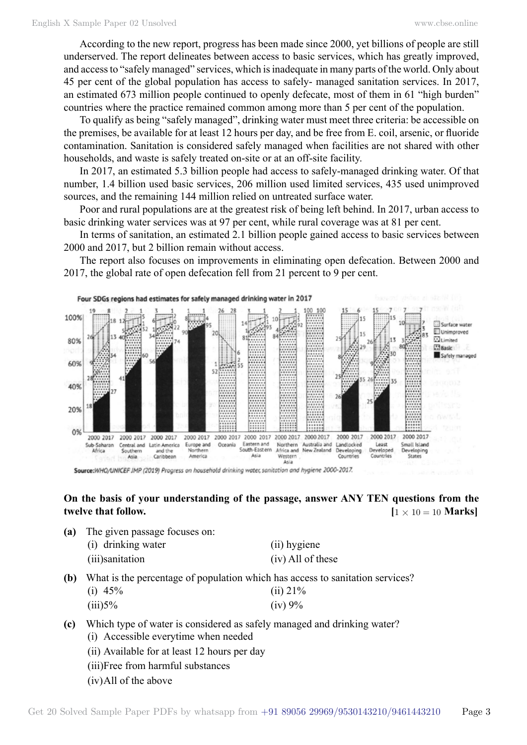According to the new report, progress has been made since 2000, yet billions of people are still underserved. The report delineates between access to basic services, which has greatly improved, and access to "safely managed" services, which is inadequate in many parts of the world. Only about 45 per cent of the global population has access to safely- managed sanitation services. In 2017, an estimated 673 million people continued to openly defecate, most of them in 61 "high burden" countries where the practice remained common among more than 5 per cent of the population.

To qualify as being "safely managed", drinking water must meet three criteria: be accessible on the premises, be available for at least 12 hours per day, and be free from E. coil, arsenic, or fluoride contamination. Sanitation is considered safely managed when facilities are not shared with other households, and waste is safely treated on-site or at an off-site facility.

In 2017, an estimated 5.3 billion people had access to safely-managed drinking water. Of that number, 1.4 billion used basic services, 206 million used limited services, 435 used unimproved sources, and the remaining 144 million relied on untreated surface water.

Poor and rural populations are at the greatest risk of being left behind. In 2017, urban access to basic drinking water services was at 97 per cent, while rural coverage was at 81 per cent.

In terms of sanitation, an estimated 2.1 billion people gained access to basic services between 2000 and 2017, but 2 billion remain without access.

The report also focuses on improvements in eliminating open defecation. Between 2000 and 2017, the global rate of open defecation fell from 21 percent to 9 per cent.



Source:WHO/UNICEF JMP (2019) Progress on household drinking water, sanitation and hygiene 2000-2017.

# **On the basis of your understanding of the passage, answer ANY TEN questions from the twelve that follow.**  $[1 \times 10 = 10 \text{ Marks}]$

**(a)** The given passage focuses on:

| (i) drinking water | (ii) hygiene        |
|--------------------|---------------------|
| (iii) sanitation   | $(iv)$ All of these |
| $-1$               |                     |

**(b)** What is the percentage of population which has access to sanitation services? (i)  $45\%$  (ii)  $21\%$  $(iii)5%$  (iv) 9%

- **(c)** Which type of water is considered as safely managed and drinking water?
	- (i) Accessible everytime when needed
	- (ii) Available for at least 12 hours per day
	- (iii)Free from harmful substances
	- (iv)All of the above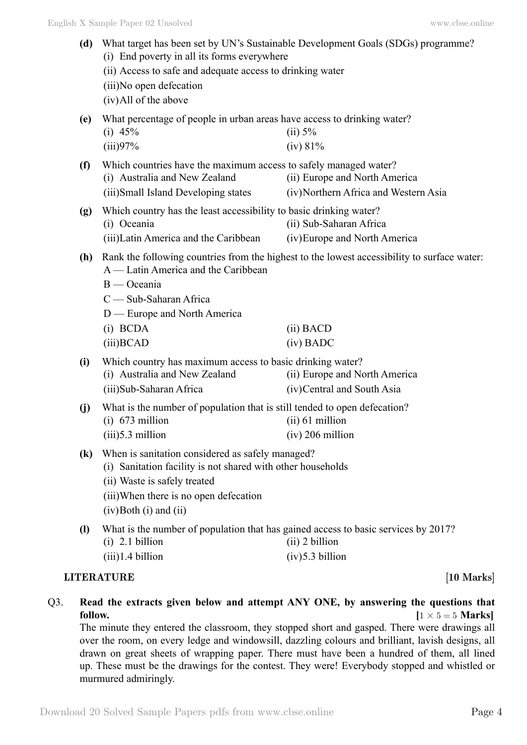- **(d)** What target has been set by UN's Sustainable Development Goals (SDGs) programme? (i) End poverty in all its forms everywhere (ii) Access to safe and adequate access to drinking water (iii)No open defecation (iv)All of the above **(e)** What percentage of people in urban areas have access to drinking water? (i)  $45\%$  (ii)  $5\%$  $(iii)97\%$   $(iv) 81\%$ **(f)** Which countries have the maximum access to safely managed water? (i) Australia and New Zealand (ii) Europe and North America (iii)Small Island Developing states (iv)Northern Africa and Western Asia **(g)** Which country has the least accessibility to basic drinking water? (i) Oceania (ii) Sub-Saharan Africa (iii)Latin America and the Caribbean (iv)Europe and North America **(h)** Rank the following countries from the highest to the lowest accessibility to surface water: A — Latin America and the Caribbean B — Oceania C — Sub-Saharan Africa D — Europe and North America (i) BCDA (ii) BACD (iii)BCAD (iv) BADC **(i)** Which country has maximum access to basic drinking water? (i) Australia and New Zealand (ii) Europe and North America (iii)Sub-Saharan Africa (iv)Central and South Asia **(j)** What is the number of population that is still tended to open defecation? (i)  $673$  million (ii)  $61$  million  $(iii)5.3$  million  $(iv) 206$  million **(k)** When is sanitation considered as safely managed? (i) Sanitation facility is not shared with other households (ii) Waste is safely treated (iii)When there is no open defecation (iv)Both (i) and (ii) **(l)** What is the number of population that has gained access to basic services by 2017? (i) 2.1 billion (ii) 2 billion  $(iii)1.4 \text{ billion}$  (iv)5.3 billion **LITERATURE** [10 Marks]
- Q3. **Read the extracts given below and attempt ANY ONE, by answering the questions that follow.**  $[1 \times 5 = 5 \text{ Marks}]$

The minute they entered the classroom, they stopped short and gasped. There were drawings all over the room, on every ledge and windowsill, dazzling colours and brilliant, lavish designs, all drawn on great sheets of wrapping paper. There must have been a hundred of them, all lined up. These must be the drawings for the contest. They were! Everybody stopped and whistled or murmured admiringly.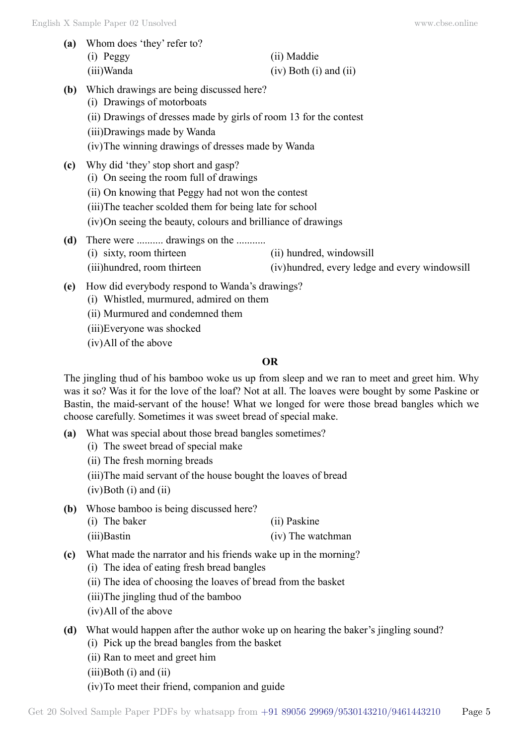**(a)** Whom does 'they' refer to? (i) Peggy (ii) Maddie

(iii)Wanda (iv) Both (i) and (ii)

- **(b)** Which drawings are being discussed here?
	- (i) Drawings of motorboats
	- (ii) Drawings of dresses made by girls of room 13 for the contest
	- (iii)Drawings made by Wanda
	- (iv)The winning drawings of dresses made by Wanda
- **(c)** Why did 'they' stop short and gasp? (i) On seeing the room full of drawings (ii) On knowing that Peggy had not won the contest (iii)The teacher scolded them for being late for school (iv)On seeing the beauty, colours and brilliance of drawings **(d)** There were .......... drawings on the ........... (i) sixty, room thirteen (ii) hundred, windowsill (iii)hundred, room thirteen (iv)hundred, every ledge and every windowsill
- **(e)** How did everybody respond to Wanda's drawings?
	- (i) Whistled, murmured, admired on them
	- (ii) Murmured and condemned them
	- (iii)Everyone was shocked
	- (iv)All of the above

# **O**

The jingling thud of his bamboo woke us up from sleep and we ran to meet and greet him. Why was it so? Was it for the love of the loaf? Not at all. The loaves were bought by some Paskine or Bastin, the maid-servant of the house! What we longed for were those bread bangles which we choose carefully. Sometimes it was sweet bread of special make.

- **(a)** What was special about those bread bangles sometimes?
	- (i) The sweet bread of special make
	- (ii) The fresh morning breads
	- (iii)The maid servant of the house bought the loaves of bread
	- $(iv)$ Both  $(i)$  and  $(ii)$
- **(b)** Whose bamboo is being discussed here? (i) The baker (ii) Paskine
	- (iii)Bastin (iv) The watchman
- **(c)** What made the narrator and his friends wake up in the morning?
	- (i) The idea of eating fresh bread bangles
	- (ii) The idea of choosing the loaves of bread from the basket
	- (iii)The jingling thud of the bamboo
	- (iv)All of the above

# **(d)** What would happen after the author woke up on hearing the baker's jingling sound?

- (i) Pick up the bread bangles from the basket
- (ii) Ran to meet and greet him
- $(iii)$ Both  $(i)$  and  $(ii)$
- (iv)To meet their friend, companion and guide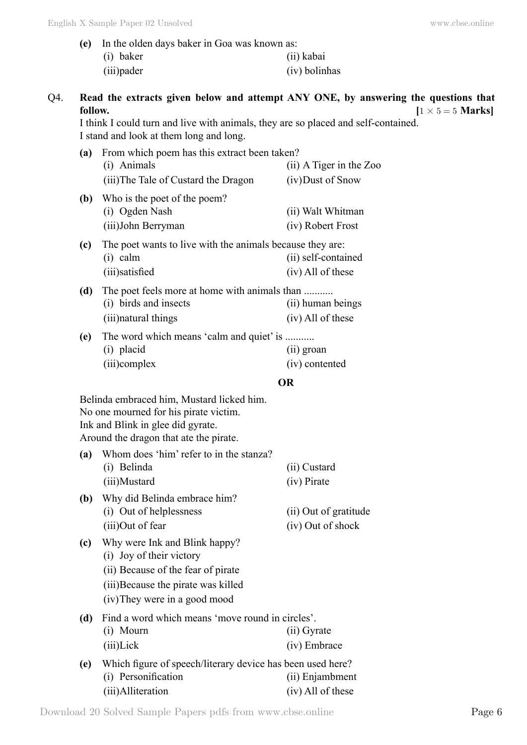| (e) In the olden days baker in Goa was known as: |               |
|--------------------------------------------------|---------------|
| $(i)$ baker                                      | (ii) kabai    |
| (iii) pader                                      | (iv) bolinhas |

| Q4. | Read the extracts given below and attempt ANY ONE, by answering the questions that |                        |
|-----|------------------------------------------------------------------------------------|------------------------|
|     | follow.                                                                            | $1 \times 5 = 5$ Marks |

I think I could turn and live with animals, they are so placed and self-contained. I stand and look at them long and long.

| (a)                                                                           | From which poem has this extract been taken?                                                   |                                          |
|-------------------------------------------------------------------------------|------------------------------------------------------------------------------------------------|------------------------------------------|
|                                                                               | (i) Animals                                                                                    | $(ii)$ A Tiger in the Zoo                |
|                                                                               | (iii) The Tale of Custard the Dragon                                                           | (iv) Dust of Snow                        |
| (b)                                                                           | Who is the poet of the poem?<br>(i) Ogden Nash<br>(iii) John Berryman                          | (ii) Walt Whitman<br>(iv) Robert Frost   |
| (c)                                                                           | The poet wants to live with the animals because they are:<br>$(i)$ calm<br>(iii) satisfied     | (ii) self-contained<br>(iv) All of these |
| (d)                                                                           | The poet feels more at home with animals than<br>(i) birds and insects<br>(iii) natural things | (ii) human beings<br>(iv) All of these   |
| The word which means 'calm and quiet' is<br>(e)<br>(i) placid<br>(iii)complex |                                                                                                | (ii) groan<br>(iv) contented             |
|                                                                               | OR                                                                                             |                                          |

Belinda embraced him, Mustard licked him. No one mourned for his pirate victim. Ink and Blink in glee did gyrate. Around the dragon that ate the pirate.

| (a) | Whom does 'him' refer to in the stanza? |              |
|-----|-----------------------------------------|--------------|
|     | (i) Belinda                             | (ii) Custard |
|     | (iii)Mustard                            | (iv) Pirate  |

- **(b)** Why did Belinda embrace him? (i) Out of helplessness (ii) Out of gratitude (iii)Out of fear (iv) Out of shock
- **(c)** Why were Ink and Blink happy? (i) Joy of their victory (ii) Because of the fear of pirate
	- (iii)Because the pirate was killed
	- (iv)They were in a good mood

| (d) | Find a word which means 'move round in circles'.           |                   |
|-----|------------------------------------------------------------|-------------------|
|     | (i) Mourn                                                  | (ii) Gyrate       |
|     | $(iii)$ Lick                                               | (iv) Embrace      |
| (e) | Which figure of speech/literary device has been used here? |                   |
|     | (i) Personification                                        | (ii) Enjambment   |
|     | (iii)Alliteration                                          | (iv) All of these |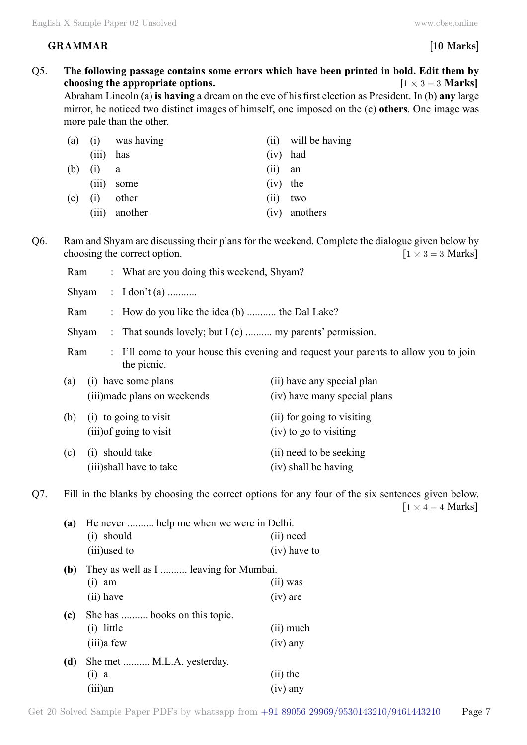# **GRAMMAR [10 Marks]**

Q5. **The following passage contains some errors which have been printed in bold. Edit them by choosing the appropriate options.**  $[1 \times 3 = 3 \text{ Marks}]$ Abraham Lincoln (a) **is having** a dream on the eve of his first election as President. In (b) **any** large mirror, he noticed two distinct images of himself, one imposed on the (c) **others**. One image was more pale than the other. (a) (i) was having (ii) will be having (iii) has (iv) had (b) (i) a (ii) an (iii) some (iv) the (c) (i) other (ii) two (iii) another (iv) anothers Q6. Ram and Shyam are discussing their plans for the weekend. Complete the dialogue given below by choosing the correct option.  $[1 \times 3 = 3 \text{ Marks}]$ Ram : What are you doing this weekend, Shyam? Shyam : I don't (a) ........... Ram : How do you like the idea (b) ........... the Dal Lake? Shyam : That sounds lovely; but I (c) .......... my parents' permission. Ram : I'll come to your house this evening and request your parents to allow you to join the picnic. (a) (i) have some plans (ii) have any special plan (iii)made plans on weekends (iv) have many special plans (b) (i) to going to visit  $(i)$  for going to visiting (iii) of going to visit (iv) to go to visiting (c) (i) should take (ii) need to be seeking (iii)shall have to take (iv) shall be having Q7. Fill in the blanks by choosing the correct options for any four of the six sentences given below.  $[1 \times 4 = 4$  Marks] **(a)** He never .......... help me when we were in Delhi. (i) should (ii) need (iii)used to (iv) have to **(b)** They as well as I .......... leaving for Mumbai.  $(i)$  am  $(iii)$  was (ii) have (iv) are **(c)** She has .......... books on this topic. (i) little (ii) much (iii)a few (iv) any **(d)** She met .......... M.L.A. yesterday.  $(i)$  a  $(iii)$  the (iii)an (iv) any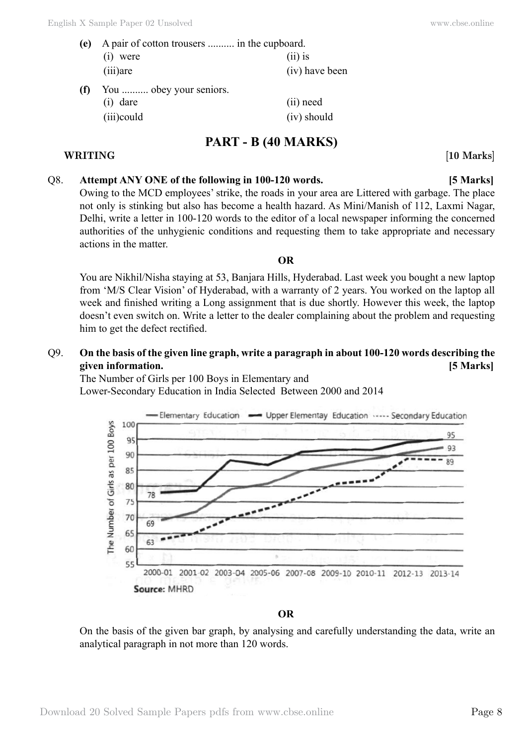| (e) | A pair of cotton trousers  in the cupboard. |                |
|-----|---------------------------------------------|----------------|
|     | $(i)$ were                                  | $(ii)$ is      |
|     | $(iii)$ are                                 | (iv) have been |
| (f) | You  obey your seniors.                     |                |
|     | $(i)$ dare                                  | (ii) need      |

# (iii)could (iv) should

# **PART - B (40 Marks)**

**WRITING [10 Marks]**

# Q8. **Attempt ANY ONE of the following in 100-120 words. [5 Marks]**

Owing to the MCD employees' strike, the roads in your area are Littered with garbage. The place not only is stinking but also has become a health hazard. As Mini/Manish of 112, Laxmi Nagar, Delhi, write a letter in 100-120 words to the editor of a local newspaper informing the concerned authorities of the unhygienic conditions and requesting them to take appropriate and necessary actions in the matter.

## **O**

You are Nikhil/Nisha staying at 53, Banjara Hills, Hyderabad. Last week you bought a new laptop from 'M/S Clear Vision' of Hyderabad, with a warranty of 2 years. You worked on the laptop all week and finished writing a Long assignment that is due shortly. However this week, the laptop doesn't even switch on. Write a letter to the dealer complaining about the problem and requesting him to get the defect rectified.

# Q9. **On the basis of the given line graph, write a paragraph in about 100-120 words describing the given information. [5 Marks]**

The Number of Girls per 100 Boys in Elementary and Lower-Secondary Education in India Selected Between 2000 and 2014



### **O**

On the basis of the given bar graph, by analysing and carefully understanding the data, write an analytical paragraph in not more than 120 words.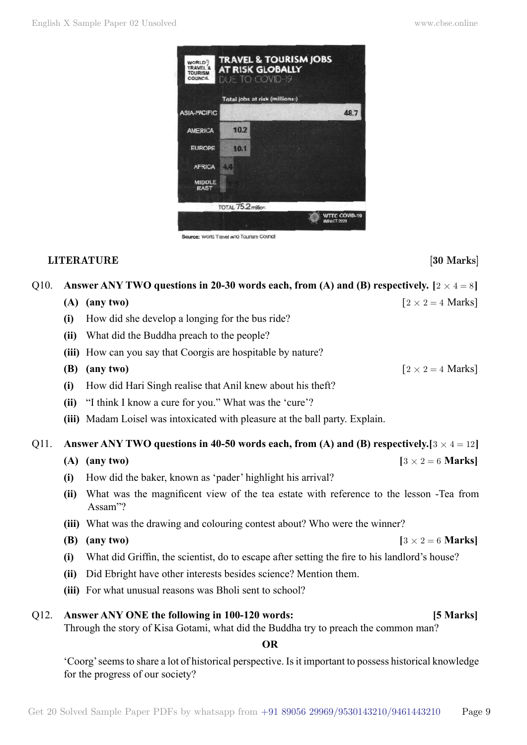

### urce: World Travel and Tourism Council

### **LITERATURE** [30 Marks]

## Q10. **Answer ANY TWO questions in 20-30 words each, from (A) and (B) respectively.**  $[2 \times 4 = 8]$

- **(A) (any two)**  $\left[2 \times 2 = 4 \text{ Marks}\right]$
- **(i)** How did she develop a longing for the bus ride?
- **(ii)** What did the Buddha preach to the people?
- **(iii)** How can you say that Coorgis are hospitable by nature?

# **(B)** (any two)  $\left[2 \times 2 = 4 \text{ Marks}\right]$

- **(i)** How did Hari Singh realise that Anil knew about his theft?
- **(ii)** "I think I know a cure for you." What was the 'cure'?
- **(iii)** Madam Loisel was intoxicated with pleasure at the ball party. Explain.

# Q11. **Answer ANY TWO questions in 40-50 words each, from (A) and (B) respectively.**[ $3 \times 4 = 12$ ]

### **(A) (any two) [** $3 \times 2 = 6$  **Marks]**

- **(i)** How did the baker, known as 'pader' highlight his arrival?
- **(ii)** What was the magnificent view of the tea estate with reference to the lesson -Tea from Assam"?
- **(iii)** What was the drawing and colouring contest about? Who were the winner?
- **(B) (any two)**  $[3 \times 2 = 6$  **Marks**]
- **(i)** What did Griffin, the scientist, do to escape after setting the fire to his landlord's house?
- **(ii)** Did Ebright have other interests besides science? Mention them.
- **(iii)** For what unusual reasons was Bholi sent to school?

# Q12. **Answer ANY ONE the following in 100-120 words: [5 Marks]**

Through the story of Kisa Gotami, what did the Buddha try to preach the common man?

 **O**

'Coorg' seems to share a lot of historical perspective. Is it important to possess historical knowledge for the progress of our society?